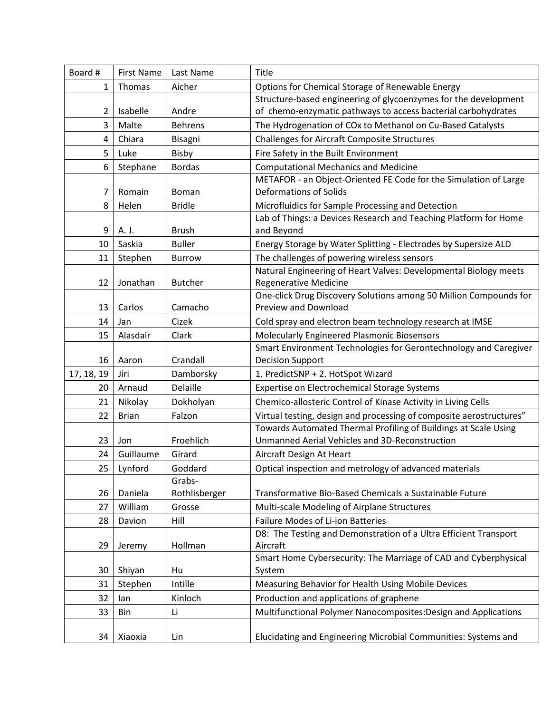| Board #          | <b>First Name</b> | Last Name             | Title                                                                                                                                  |
|------------------|-------------------|-----------------------|----------------------------------------------------------------------------------------------------------------------------------------|
| 1                | Thomas            | Aicher                | Options for Chemical Storage of Renewable Energy                                                                                       |
|                  |                   |                       | Structure-based engineering of glycoenzymes for the development                                                                        |
| 2                | Isabelle          | Andre                 | of chemo-enzymatic pathways to access bacterial carbohydrates                                                                          |
| 3                | Malte             | <b>Behrens</b>        | The Hydrogenation of COx to Methanol on Cu-Based Catalysts                                                                             |
| 4                | Chiara            | Bisagni               | <b>Challenges for Aircraft Composite Structures</b>                                                                                    |
| 5                | Luke              | Bisby                 | Fire Safety in the Built Environment                                                                                                   |
| 6                | Stephane          | <b>Bordas</b>         | <b>Computational Mechanics and Medicine</b>                                                                                            |
|                  |                   |                       | METAFOR - an Object-Oriented FE Code for the Simulation of Large                                                                       |
| 7                | Romain            | Boman                 | <b>Deformations of Solids</b>                                                                                                          |
| 8                | Helen             | <b>Bridle</b>         | Microfluidics for Sample Processing and Detection                                                                                      |
|                  |                   |                       | Lab of Things: a Devices Research and Teaching Platform for Home                                                                       |
| 9                | A. J.             | <b>Brush</b>          | and Beyond                                                                                                                             |
| 10               | Saskia            | <b>Buller</b>         | Energy Storage by Water Splitting - Electrodes by Supersize ALD                                                                        |
| 11               | Stephen           | <b>Burrow</b>         | The challenges of powering wireless sensors                                                                                            |
|                  |                   |                       | Natural Engineering of Heart Valves: Developmental Biology meets                                                                       |
| 12               | Jonathan          | <b>Butcher</b>        | <b>Regenerative Medicine</b>                                                                                                           |
|                  |                   |                       | One-click Drug Discovery Solutions among 50 Million Compounds for                                                                      |
| 13               | Carlos            | Camacho               | Preview and Download                                                                                                                   |
| 14               | Jan               | Cizek                 | Cold spray and electron beam technology research at IMSE                                                                               |
| 15               | Alasdair          | Clark                 | Molecularly Engineered Plasmonic Biosensors                                                                                            |
|                  | Aaron             | Crandall              | Smart Environment Technologies for Gerontechnology and Caregiver<br><b>Decision Support</b>                                            |
| 16               |                   |                       |                                                                                                                                        |
| 17, 18, 19<br>20 | Jiri<br>Arnaud    | Damborsky<br>Delaille | 1. PredictSNP + 2. HotSpot Wizard                                                                                                      |
|                  |                   |                       | Expertise on Electrochemical Storage Systems                                                                                           |
| 21               | Nikolay           | Dokholyan             | Chemico-allosteric Control of Kinase Activity in Living Cells                                                                          |
| 22               | <b>Brian</b>      | Falzon                | Virtual testing, design and processing of composite aerostructures"<br>Towards Automated Thermal Profiling of Buildings at Scale Using |
| 23               | Jon               | Froehlich             | Unmanned Aerial Vehicles and 3D-Reconstruction                                                                                         |
| 24               | Guillaume         | Girard                |                                                                                                                                        |
|                  |                   |                       | Aircraft Design At Heart                                                                                                               |
| 25               | Lynford           | Goddard<br>Grabs-     | Optical inspection and metrology of advanced materials                                                                                 |
| 26               | Daniela           | Rothlisberger         | Transformative Bio-Based Chemicals a Sustainable Future                                                                                |
| 27               | William           | Grosse                | Multi-scale Modeling of Airplane Structures                                                                                            |
| 28               | Davion            | Hill                  | Failure Modes of Li-ion Batteries                                                                                                      |
|                  |                   |                       | D8: The Testing and Demonstration of a Ultra Efficient Transport                                                                       |
| 29               | Jeremy            | Hollman               | Aircraft                                                                                                                               |
|                  |                   |                       | Smart Home Cybersecurity: The Marriage of CAD and Cyberphysical                                                                        |
| 30               | Shiyan            | Hu                    | System                                                                                                                                 |
| 31               | Stephen           | Intille               | Measuring Behavior for Health Using Mobile Devices                                                                                     |
| 32               | lan               | Kinloch               | Production and applications of graphene                                                                                                |
| 33               | Bin               | Li                    | Multifunctional Polymer Nanocomposites: Design and Applications                                                                        |
|                  |                   |                       |                                                                                                                                        |
| 34               | Xiaoxia           | Lin                   | Elucidating and Engineering Microbial Communities: Systems and                                                                         |